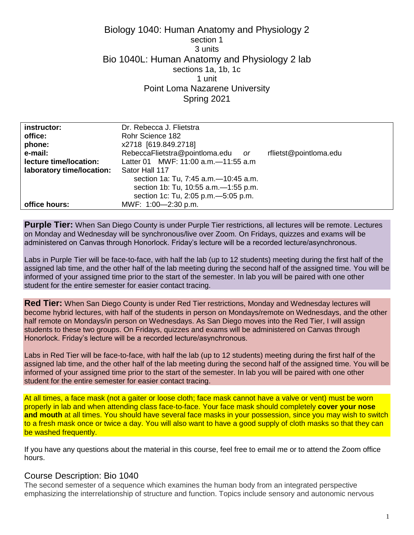# Biology 1040: Human Anatomy and Physiology 2 section 1 3 units Bio 1040L: Human Anatomy and Physiology 2 lab sections 1a, 1b, 1c 1 unit Point Loma Nazarene University Spring 2021

| instructor:               | Dr. Rebecca J. Flietstra               |                        |
|---------------------------|----------------------------------------|------------------------|
| office:                   | Rohr Science 182                       |                        |
| phone:                    | x2718 [619.849.2718]                   |                        |
| e-mail:                   | RebeccaFlietstra@pointloma.edu<br>or   | rflietst@pointloma.edu |
| lecture time/location:    | Latter 01 MWF: 11:00 a.m. - 11:55 a.m  |                        |
| laboratory time/location: | Sator Hall 117                         |                        |
|                           | section 1a: Tu, 7:45 a.m. - 10:45 a.m. |                        |
|                           | section 1b: Tu, 10:55 a.m. - 1:55 p.m. |                        |
|                           | section 1c: Tu, 2:05 p.m. - 5:05 p.m.  |                        |
| office hours:             | MWF: 1:00-2:30 p.m.                    |                        |

**Purple Tier:** When San Diego County is under Purple Tier restrictions, all lectures will be remote. Lectures on Monday and Wednesday will be synchronous/live over Zoom. On Fridays, quizzes and exams will be administered on Canvas through Honorlock. Friday's lecture will be a recorded lecture/asynchronous.

Labs in Purple Tier will be face-to-face, with half the lab (up to 12 students) meeting during the first half of the assigned lab time, and the other half of the lab meeting during the second half of the assigned time. You will be informed of your assigned time prior to the start of the semester. In lab you will be paired with one other student for the entire semester for easier contact tracing.

**Red Tier:** When San Diego County is under Red Tier restrictions, Monday and Wednesday lectures will become hybrid lectures, with half of the students in person on Mondays/remote on Wednesdays, and the other half remote on Mondays/in person on Wednesdays. As San Diego moves into the Red Tier, I will assign students to these two groups. On Fridays, quizzes and exams will be administered on Canvas through Honorlock. Friday's lecture will be a recorded lecture/asynchronous.

Labs in Red Tier will be face-to-face, with half the lab (up to 12 students) meeting during the first half of the assigned lab time, and the other half of the lab meeting during the second half of the assigned time. You will be informed of your assigned time prior to the start of the semester. In lab you will be paired with one other student for the entire semester for easier contact tracing.

At all times, a face mask (not a gaiter or loose cloth; face mask cannot have a valve or vent) must be worn properly in lab and when attending class face-to-face. Your face mask should completely **cover your nose and mouth** at all times. You should have several face masks in your possession, since you may wish to switch to a fresh mask once or twice a day. You will also want to have a good supply of cloth masks so that they can be washed frequently.

If you have any questions about the material in this course, feel free to email me or to attend the Zoom office hours.

# Course Description: Bio 1040

The second semester of a sequence which examines the human body from an integrated perspective emphasizing the interrelationship of structure and function. Topics include sensory and autonomic nervous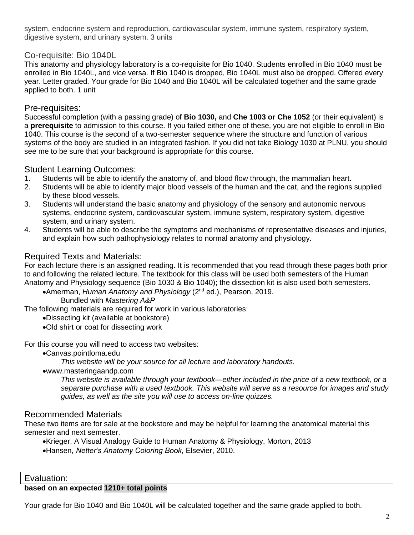system, endocrine system and reproduction, cardiovascular system, immune system, respiratory system, digestive system, and urinary system. 3 units

# Co-requisite: Bio 1040L

This anatomy and physiology laboratory is a co-requisite for Bio 1040. Students enrolled in Bio 1040 must be enrolled in Bio 1040L, and vice versa. If Bio 1040 is dropped, Bio 1040L must also be dropped. Offered every year. Letter graded. Your grade for Bio 1040 and Bio 1040L will be calculated together and the same grade applied to both. 1 unit

# Pre-requisites:

Successful completion (with a passing grade) of **Bio 1030,** and **Che 1003 or Che 1052** (or their equivalent) is a **prerequisite** to admission to this course. If you failed either one of these, you are not eligible to enroll in Bio 1040. This course is the second of a two-semester sequence where the structure and function of various systems of the body are studied in an integrated fashion. If you did not take Biology 1030 at PLNU, you should see me to be sure that your background is appropriate for this course.

# Student Learning Outcomes:

- 1. Students will be able to identify the anatomy of, and blood flow through, the mammalian heart.
- 2. Students will be able to identify major blood vessels of the human and the cat, and the regions supplied by these blood vessels.
- 3. Students will understand the basic anatomy and physiology of the sensory and autonomic nervous systems, endocrine system, cardiovascular system, immune system, respiratory system, digestive system, and urinary system.
- 4. Students will be able to describe the symptoms and mechanisms of representative diseases and injuries, and explain how such pathophysiology relates to normal anatomy and physiology.

# Required Texts and Materials:

For each lecture there is an assigned reading. It is recommended that you read through these pages both prior to and following the related lecture. The textbook for this class will be used both semesters of the Human Anatomy and Physiology sequence (Bio 1030 & Bio 1040); the dissection kit is also used both semesters.

Amerman, *Human Anatomy and Physiology* (2nd ed.), Pearson, 2019.

Bundled with *Mastering A&P*

The following materials are required for work in various laboratories:

Dissecting kit (available at bookstore)

Old shirt or coat for dissecting work

For this course you will need to access two websites:

Canvas.pointloma.edu

*This website will be your source for all lecture and laboratory handouts.*

www.masteringaandp.com

*This website is available through your textbook—either included in the price of a new textbook, or a separate purchase with a used textbook. This website will serve as a resource for images and study guides, as well as the site you will use to access on-line quizzes.*

# Recommended Materials

These two items are for sale at the bookstore and may be helpful for learning the anatomical material this semester and next semester.

Krieger, A Visual Analogy Guide to Human Anatomy & Physiology, Morton, 2013 Hansen, *Netter's Anatomy Coloring Book*, Elsevier, 2010.

Evaluation:

#### **based on an expected 1210+ total points**

Your grade for Bio 1040 and Bio 1040L will be calculated together and the same grade applied to both.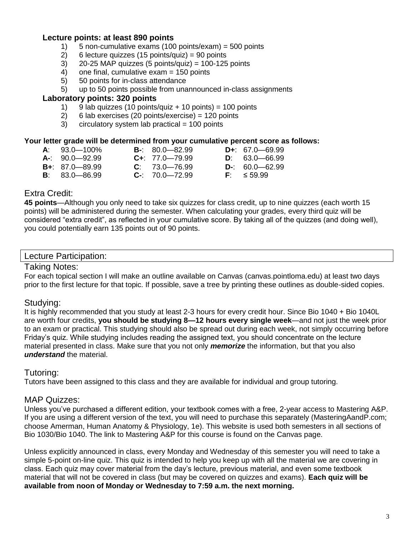# **Lecture points: at least 890 points**

- 1) 5 non-cumulative exams (100 points/exam) = 500 points
- 2) 6 lecture quizzes (15 points/quiz) = 90 points
- $3)$  20-25 MAP quizzes (5 points/quiz) = 100-125 points
- 4) one final, cumulative exam = 150 points
- 5) 50 points for in-class attendance
- 5) up to 50 points possible from unannounced in-class assignments

#### **Laboratory points: 320 points**

- 1) 9 lab quizzes (10 points/quiz + 10 points) = 100 points<br>2) 6 lab exercises (20 points/exercise) = 120 points
- 6 lab exercises (20 points/exercise) =  $120$  points
- $3$  circulatory system lab practical = 100 points

#### **Your letter grade will be determined from your cumulative percent score as follows:**

| $A: 93.0 - 100\%$  | $B - 80.0 - 82.99$   | $D_{+}$ : 67.0 - 69.99 |
|--------------------|----------------------|------------------------|
| $A-$ : 90.0-92.99  | $C_{+}$ : 77.0-79.99 | $D: 63.0 - 66.99$      |
| $B + 87.0 - 89.99$ | $C: 73.0 - 76.99$    | $D-360.0-62.99$        |
| $B: 83.0 - 86.99$  | $C-$ : 70.0-72.99    | $F: \leq 59.99$        |

# Extra Credit:

**45 points**—Although you only need to take six quizzes for class credit, up to nine quizzes (each worth 15 points) will be administered during the semester. When calculating your grades, every third quiz will be considered "extra credit", as reflected in your cumulative score. By taking all of the quizzes (and doing well), you could potentially earn 135 points out of 90 points.

#### Lecture Participation:

#### Taking Notes:

For each topical section I will make an outline available on Canvas (canvas.pointloma.edu) at least two days prior to the first lecture for that topic. If possible, save a tree by printing these outlines as double-sided copies.

# Studying:

It is highly recommended that you study at least 2-3 hours for every credit hour. Since Bio 1040 + Bio 1040L are worth four credits, **you should be studying 8—12 hours every single week**—and not just the week prior to an exam or practical. This studying should also be spread out during each week, not simply occurring before Friday's quiz. While studying includes reading the assigned text, you should concentrate on the lecture material presented in class. Make sure that you not only *memorize* the information, but that you also *understand* the material.

# Tutoring:

Tutors have been assigned to this class and they are available for individual and group tutoring.

# MAP Quizzes:

Unless you've purchased a different edition, your textbook comes with a free, 2-year access to Mastering A&P. If you are using a different version of the text, you will need to purchase this separately (MasteringAandP.com; choose Amerman, Human Anatomy & Physiology, 1e). This website is used both semesters in all sections of Bio 1030/Bio 1040. The link to Mastering A&P for this course is found on the Canvas page.

Unless explicitly announced in class, every Monday and Wednesday of this semester you will need to take a simple 5-point on-line quiz. This quiz is intended to help you keep up with all the material we are covering in class. Each quiz may cover material from the day's lecture, previous material, and even some textbook material that will not be covered in class (but may be covered on quizzes and exams). **Each quiz will be available from noon of Monday or Wednesday to 7:59 a.m. the next morning.**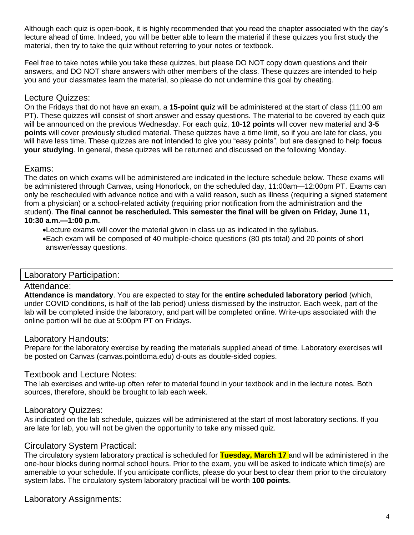Although each quiz is open-book, it is highly recommended that you read the chapter associated with the day's lecture ahead of time. Indeed, you will be better able to learn the material if these quizzes you first study the material, then try to take the quiz without referring to your notes or textbook.

Feel free to take notes while you take these quizzes, but please DO NOT copy down questions and their answers, and DO NOT share answers with other members of the class. These quizzes are intended to help you and your classmates learn the material, so please do not undermine this goal by cheating.

# Lecture Quizzes:

On the Fridays that do not have an exam, a **15-point quiz** will be administered at the start of class (11:00 am PT). These quizzes will consist of short answer and essay questions. The material to be covered by each quiz will be announced on the previous Wednesday. For each quiz, **10-12 points** will cover new material and **3-5 points** will cover previously studied material. These quizzes have a time limit, so if you are late for class, you will have less time. These quizzes are **not** intended to give you "easy points", but are designed to help **focus your studying**. In general, these quizzes will be returned and discussed on the following Monday.

# Exams:

The dates on which exams will be administered are indicated in the lecture schedule below. These exams will be administered through Canvas, using Honorlock, on the scheduled day, 11:00am—12:00pm PT. Exams can only be rescheduled with advance notice and with a valid reason, such as illness (requiring a signed statement from a physician) or a school-related activity (requiring prior notification from the administration and the student). **The final cannot be rescheduled. This semester the final will be given on Friday, June 11, 10:30 a.m.—1:00 p.m.**

Lecture exams will cover the material given in class up as indicated in the syllabus.

Each exam will be composed of 40 multiple-choice questions (80 pts total) and 20 points of short answer/essay questions.

# Laboratory Participation:

#### Attendance:

**Attendance is mandatory**. You are expected to stay for the **entire scheduled laboratory period** (which, under COVID conditions, is half of the lab period) unless dismissed by the instructor. Each week, part of the lab will be completed inside the laboratory, and part will be completed online. Write-ups associated with the online portion will be due at 5:00pm PT on Fridays.

# Laboratory Handouts:

Prepare for the laboratory exercise by reading the materials supplied ahead of time. Laboratory exercises will be posted on Canvas (canvas.pointloma.edu) d-outs as double-sided copies.

# Textbook and Lecture Notes:

The lab exercises and write-up often refer to material found in your textbook and in the lecture notes. Both sources, therefore, should be brought to lab each week.

# Laboratory Quizzes:

As indicated on the lab schedule, quizzes will be administered at the start of most laboratory sections. If you are late for lab, you will not be given the opportunity to take any missed quiz.

# Circulatory System Practical:

The circulatory system laboratory practical is scheduled for **Tuesday, March 17** and will be administered in the one-hour blocks during normal school hours. Prior to the exam, you will be asked to indicate which time(s) are amenable to your schedule. If you anticipate conflicts, please do your best to clear them prior to the circulatory system labs. The circulatory system laboratory practical will be worth **100 points**.

# Laboratory Assignments: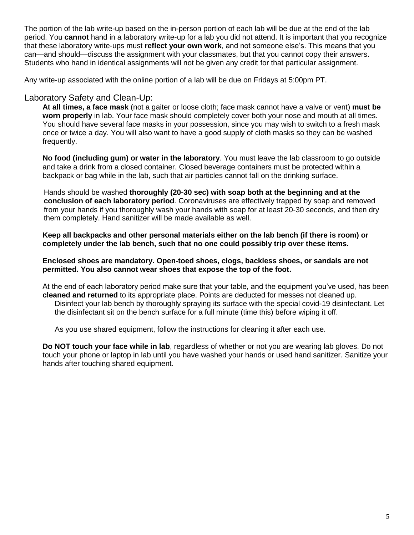The portion of the lab write-up based on the in-person portion of each lab will be due at the end of the lab period. You **cannot** hand in a laboratory write-up for a lab you did not attend. It is important that you recognize that these laboratory write-ups must **reflect your own work**, and not someone else's. This means that you can—and should—discuss the assignment with your classmates, but that you cannot copy their answers. Students who hand in identical assignments will not be given any credit for that particular assignment.

Any write-up associated with the online portion of a lab will be due on Fridays at 5:00pm PT.

# Laboratory Safety and Clean-Up:

**At all times, a face mask** (not a gaiter or loose cloth; face mask cannot have a valve or vent) **must be worn properly** in lab. Your face mask should completely cover both your nose and mouth at all times. You should have several face masks in your possession, since you may wish to switch to a fresh mask once or twice a day. You will also want to have a good supply of cloth masks so they can be washed frequently.

**No food (including gum) or water in the laboratory**. You must leave the lab classroom to go outside and take a drink from a closed container. Closed beverage containers must be protected within a backpack or bag while in the lab, such that air particles cannot fall on the drinking surface.

Hands should be washed **thoroughly (20-30 sec) with soap both at the beginning and at the conclusion of each laboratory period**. Coronaviruses are effectively trapped by soap and removed from your hands if you thoroughly wash your hands with soap for at least 20-30 seconds, and then dry them completely. Hand sanitizer will be made available as well.

**Keep all backpacks and other personal materials either on the lab bench (if there is room) or completely under the lab bench, such that no one could possibly trip over these items.**

#### **Enclosed shoes are mandatory. Open-toed shoes, clogs, backless shoes, or sandals are not permitted. You also cannot wear shoes that expose the top of the foot.**

At the end of each laboratory period make sure that your table, and the equipment you've used, has been **cleaned and returned** to its appropriate place. Points are deducted for messes not cleaned up. Disinfect your lab bench by thoroughly spraying its surface with the special covid-19 disinfectant. Let the disinfectant sit on the bench surface for a full minute (time this) before wiping it off.

As you use shared equipment, follow the instructions for cleaning it after each use.

**Do NOT touch your face while in lab**, regardless of whether or not you are wearing lab gloves. Do not touch your phone or laptop in lab until you have washed your hands or used hand sanitizer. Sanitize your hands after touching shared equipment.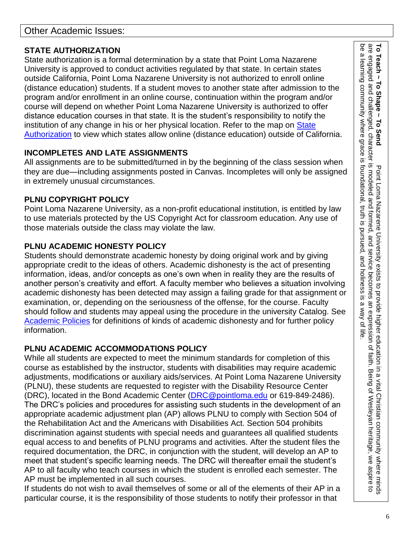# **STATE AUTHORIZATION**

State authorization is a formal determination by a state that Point Loma Nazarene University is approved to conduct activities regulated by that state. In certain states outside California, Point Loma Nazarene University is not authorized to enroll online (distance education) students. If a student moves to another state after admission to the program and/or enrollment in an online course, continuation within the program and/or course will depend on whether Point Loma Nazarene University is authorized to offer distance education courses in that state. It is the student's responsibility to notify the institution of any change in his or her physical location. Refer to the map on State [Authorization](https://www.pointloma.edu/offices/office-institutional-effectiveness-research/disclosures) to view which states allow online (distance education) outside of California.

# **INCOMPLETES AND LATE ASSIGNMENTS**

All assignments are to be submitted/turned in by the beginning of the class session when they are due—including assignments posted in Canvas. Incompletes will only be assigned in extremely unusual circumstances.

# **PLNU COPYRIGHT POLICY**

Point Loma Nazarene University, as a non-profit educational institution, is entitled by law to use materials protected by the US Copyright Act for classroom education. Any use of those materials outside the class may violate the law.

# **PLNU ACADEMIC HONESTY POLICY**

Students should demonstrate academic honesty by doing original work and by giving appropriate credit to the ideas of others. Academic dishonesty is the act of presenting information, ideas, and/or concepts as one's own when in reality they are the results of another person's creativity and effort. A faculty member who believes a situation involving academic dishonesty has been detected may assign a failing grade for that assignment or examination, or, depending on the seriousness of the offense, for the course. Faculty should follow and students may appeal using the procedure in the university Catalog. See [Academic Policies](https://catalog.pointloma.edu/content.php?catoid=41&navoid=2435#Academic_Honesty) for definitions of kinds of academic dishonesty and for further policy information.

# **PLNU ACADEMIC ACCOMMODATIONS POLICY**

While all students are expected to meet the minimum standards for completion of this course as established by the instructor, students with disabilities may require academic adjustments, modifications or auxiliary aids/services. At Point Loma Nazarene University (PLNU), these students are requested to register with the Disability Resource Center (DRC), located in the Bond Academic Center [\(DRC@pointloma.edu](mailto:DRC@pointloma.edu) or 619-849-2486). The DRC's policies and procedures for assisting such students in the development of an appropriate academic adjustment plan (AP) allows PLNU to comply with Section 504 of the Rehabilitation Act and the Americans with Disabilities Act. Section 504 prohibits discrimination against students with special needs and guarantees all qualified students equal access to and benefits of PLNU programs and activities. After the student files the required documentation, the DRC, in conjunction with the student, will develop an AP to meet that student's specific learning needs. The DRC will thereafter email the student's AP to all faculty who teach courses in which the student is enrolled each semester. The AP must be implemented in all such courses.

If students do not wish to avail themselves of some or all of the elements of their AP in a particular course, it is the responsibility of those students to notify their professor in that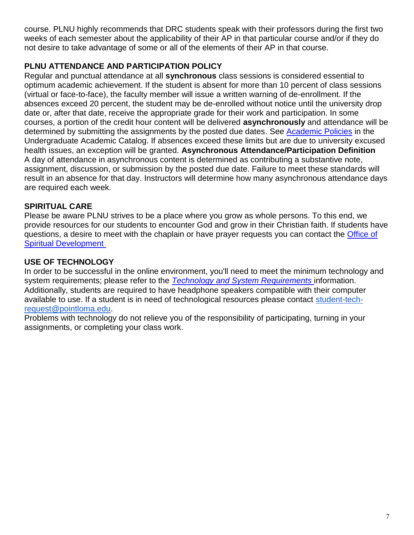course. PLNU highly recommends that DRC students speak with their professors during the first two weeks of each semester about the applicability of their AP in that particular course and/or if they do not desire to take advantage of some or all of the elements of their AP in that course.

# **PLNU ATTENDANCE AND PARTICIPATION POLICY**

Regular and punctual attendance at all **synchronous** class sessions is considered essential to optimum academic achievement. If the student is absent for more than 10 percent of class sessions (virtual or face-to-face), the faculty member will issue a written warning of de-enrollment. If the absences exceed 20 percent, the student may be de-enrolled without notice until the university drop date or, after that date, receive the appropriate grade for their work and participation. In some courses, a portion of the credit hour content will be delivered **asynchronously** and attendance will be determined by submitting the assignments by the posted due dates. See [Academic Policies](https://catalog.pointloma.edu/content.php?catoid=46&navoid=2650#Class_Attendance) in the Undergraduate Academic Catalog. If absences exceed these limits but are due to university excused health issues, an exception will be granted. **Asynchronous Attendance/Participation Definition** A day of attendance in asynchronous content is determined as contributing a substantive note, assignment, discussion, or submission by the posted due date. Failure to meet these standards will result in an absence for that day. Instructors will determine how many asynchronous attendance days are required each week.

# **SPIRITUAL CARE**

Please be aware PLNU strives to be a place where you grow as whole persons. To this end, we provide resources for our students to encounter God and grow in their Christian faith. If students have questions, a desire to meet with the chaplain or have prayer requests you can contact the [Office of](https://www.pointloma.edu/offices/spiritual-development)  [Spiritual Development](https://www.pointloma.edu/offices/spiritual-development)

# **USE OF TECHNOLOGY**

In order to be successful in the online environment, you'll need to meet the minimum technology and system requirements; please refer to the *[Technology and System Requirements](https://help.pointloma.edu/TDClient/1808/Portal/KB/ArticleDet?ID=108349)* information. Additionally, students are required to have headphone speakers compatible with their computer available to use. If a student is in need of technological resources please contact [student-tech](mailto:student-tech-request@pointloma.edu)[request@pointloma.edu.](mailto:student-tech-request@pointloma.edu)

Problems with technology do not relieve you of the responsibility of participating, turning in your assignments, or completing your class work.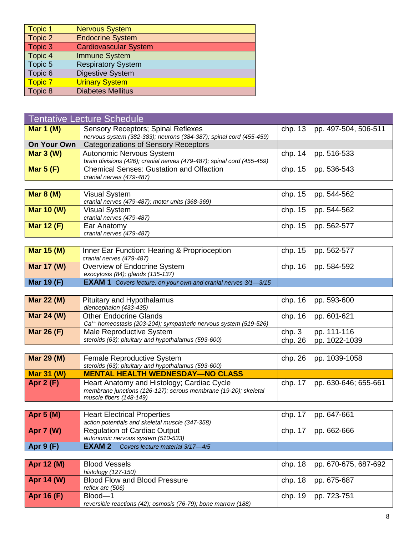| Topic 1 | <b>Nervous System</b>        |
|---------|------------------------------|
| Topic 2 | <b>Endocrine System</b>      |
| Topic 3 | <b>Cardiovascular System</b> |
| Topic 4 | <b>Immune System</b>         |
| Topic 5 | <b>Respiratory System</b>    |
| Topic 6 | <b>Digestive System</b>      |
| Topic 7 | <b>Urinary System</b>        |
| Topic 8 | <b>Diabetes Mellitus</b>     |

| Tentative Lecture Schedule |                                                                        |  |                              |  |
|----------------------------|------------------------------------------------------------------------|--|------------------------------|--|
| Mar 1 $(M)$                | <b>Sensory Receptors; Spinal Reflexes</b>                              |  | chp. 13 pp. 497-504, 506-511 |  |
|                            | nervous system (382-383); neurons (384-387); spinal cord (455-459)     |  |                              |  |
| On Your Own                | <b>Categorizations of Sensory Receptors</b>                            |  |                              |  |
| Mar $3(W)$                 | Autonomic Nervous System                                               |  | chp. 14 pp. 516-533          |  |
|                            | brain divisions (426); cranial nerves (479-487); spinal cord (455-459) |  |                              |  |
| Mar $5(F)$                 | <b>Chemical Senses: Gustation and Olfaction</b>                        |  | chp. 15 pp. 536-543          |  |
|                            | cranial nerves (479-487)                                               |  |                              |  |

| Mar $8(M)$        | Visual System<br>cranial nerves (479-487); motor units (368-369) | chp. 15 pp. 544-562 |
|-------------------|------------------------------------------------------------------|---------------------|
| Mar 10 $(W)$      | Visual System<br>cranial nerves (479-487)                        | chp. 15 pp. 544-562 |
| <b>Mar 12 (F)</b> | Ear Anatomy<br>cranial nerves (479-487)                          | chp. 15 pp. 562-577 |

| Mar 15 $(M)$ | Inner Ear Function: Hearing & Proprioception<br>cranial nerves (479-487) | chp. 15 pp. 562-577 |
|--------------|--------------------------------------------------------------------------|---------------------|
| Mar 17 (W)   | Overview of Endocrine System<br>exocytosis (84); glands (135-137)        | chp. 16 pp. 584-592 |
| Mar 19 $(F)$ | <b>EXAM 1</b> Covers lecture, on your own and cranial nerves 3/1-3/15    |                     |

| <b>Mar 22 (M)</b> | Pituitary and Hypothalamus                                                   |       | chp. 16 pp. 593-600   |
|-------------------|------------------------------------------------------------------------------|-------|-----------------------|
|                   | diencephalon (433-435)                                                       |       |                       |
| Mar 24 (W)        | Other Endocrine Glands                                                       |       | chp. 16 pp. 601-621   |
|                   | Ca <sup>++</sup> homeostasis (203-204); sympathetic nervous system (519-526) |       |                       |
| <b>Mar 26 (F)</b> | Male Reproductive System                                                     | chp.3 | pp. 111-116           |
|                   | steroids (63); pituitary and hypothalamus (593-600)                          |       | chp. 26 pp. 1022-1039 |

| Mar 29 (M)        | Female Reproductive System<br>steroids (63); pituitary and hypothalamus (593-600)                                                        |         | chp. 26 pp. 1039-1058 |
|-------------------|------------------------------------------------------------------------------------------------------------------------------------------|---------|-----------------------|
| <b>Mar 31 (W)</b> | <b>MENTAL HEALTH WEDNESDAY—NO CLASS</b>                                                                                                  |         |                       |
| Apr $2(F)$        | Heart Anatomy and Histology; Cardiac Cycle<br>membrane junctions (126-127); serous membrane (19-20); skeletal<br>muscle fibers (148-149) | chp. 17 | pp. 630-646; 655-661  |

| Apr $5(M)$       | <b>Heart Electrical Properties</b><br>action potentials and skeletal muscle (347-358) |  | chp. 17 pp. 647-661 |
|------------------|---------------------------------------------------------------------------------------|--|---------------------|
| <b>Apr 7 (W)</b> | Regulation of Cardiac Output<br>autonomic nervous system (510-533)                    |  | chp. 17 pp. 662-666 |
| <b>Apr 9 (F)</b> | <b>EXAM 2</b> Covers lecture material 3/17-4/5                                        |  |                     |

| Apr 12 (M)   | <b>Blood Vessels</b><br>histology (127-150)                              | chp. 18 pp. 670-675, 687-692 |
|--------------|--------------------------------------------------------------------------|------------------------------|
| Apr 14 (W)   | <b>Blood Flow and Blood Pressure</b><br>reflex arc (506)                 | chp. 18 pp. 675-687          |
| Apr 16 $(F)$ | Blood-1<br>reversible reactions (42); osmosis (76-79); bone marrow (188) | chp. 19 pp. 723-751          |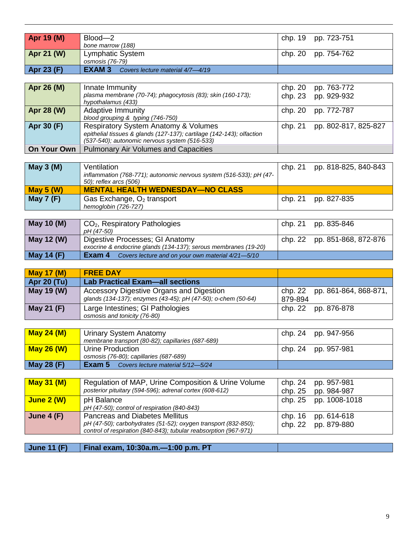| <b>June 11 (F)</b>                                                               | Final exam, 10:30a.m.-1:00 p.m. PT                                                                                                                                        |                                 |                            |
|----------------------------------------------------------------------------------|---------------------------------------------------------------------------------------------------------------------------------------------------------------------------|---------------------------------|----------------------------|
|                                                                                  | pH (47-50); carbohydrates (51-52); oxygen transport (832-850);<br>control of respiration (840-843); tubular reabsorption (967-971)                                        | chp. 22                         | pp. 879-880                |
| June $4(F)$                                                                      | pH (47-50); control of respiration (840-843)<br><b>Pancreas and Diabetes Mellitus</b>                                                                                     | chp. 16                         | pp. 614-618                |
| <b>June 2 (W)</b>                                                                | pH Balance<br>pp. 1008-1018<br>chp. 25                                                                                                                                    |                                 |                            |
| <b>May 31 (M)</b>                                                                | Regulation of MAP, Urine Composition & Urine Volume<br>posterior pituitary (594-596); adrenal cortex (608-612)                                                            | chp. 24<br>chp. 25              | pp. 957-981<br>pp. 984-987 |
|                                                                                  |                                                                                                                                                                           |                                 |                            |
| <b>May 28 (F)</b>                                                                | Exam 5<br>Covers lecture material 5/12-5/24                                                                                                                               |                                 |                            |
| <b>May 26 (W)</b>                                                                | Urine Production<br>chp. 24<br>pp. 957-981<br>osmosis (76-80); capillaries (687-689)                                                                                      |                                 |                            |
| <b>May 24 (M)</b>                                                                | Urinary System Anatomy<br>membrane transport (80-82); capillaries (687-689)                                                                                               | chp. 24                         | pp. 947-956                |
| May 21 (F)                                                                       | Large Intestines; GI Pathologies<br>osmosis and tonicity (76-80)                                                                                                          | chp. 22                         | pp. 876-878                |
|                                                                                  | <b>Accessory Digestive Organs and Digestion</b><br>chp. 22<br>pp. 861-864, 868-871,<br>glands (134-137); enzymes (43-45); pH (47-50); o-chem (50-64)<br>879-894           |                                 |                            |
| <b>Apr 20 (Tu)</b><br>May 19 (W)                                                 | <b>Lab Practical Exam-all sections</b>                                                                                                                                    |                                 |                            |
| <b>May 17 (M)</b>                                                                | <b>FREE DAY</b>                                                                                                                                                           |                                 |                            |
|                                                                                  |                                                                                                                                                                           |                                 |                            |
| <b>May 14 (F)</b><br>Exam 4<br>Covers lecture and on your own material 4/21-5/10 |                                                                                                                                                                           |                                 |                            |
| May 12 (W)                                                                       | Digestive Processes; GI Anatomy<br>exocrine & endocrine glands (134-137); serous membranes (19-20)                                                                        | chp. 22<br>pp. 851-868, 872-876 |                            |
| May 10 (M)                                                                       | CO <sub>2</sub> , Respiratory Pathologies<br>pH (47-50)                                                                                                                   | chp. 21<br>pp. 835-846          |                            |
| <b>May 7 (F)</b>                                                                 | Gas Exchange, O <sub>2</sub> transport<br>hemoglobin (726-727)                                                                                                            | chp. 21                         | pp. 827-835                |
| <b>May 5 (W)</b>                                                                 | <b>MENTAL HEALTH WEDNESDAY-NO CLASS</b>                                                                                                                                   |                                 |                            |
|                                                                                  | inflammation (768-771); autonomic nervous system (516-533); pH (47-<br>50); reflex arcs (506)                                                                             |                                 |                            |
| <b>May 3 (M)</b>                                                                 | Ventilation                                                                                                                                                               | chp. 21                         | pp. 818-825, 840-843       |
|                                                                                  |                                                                                                                                                                           |                                 |                            |
| <b>On Your Own</b>                                                               | <b>Pulmonary Air Volumes and Capacities</b>                                                                                                                               |                                 |                            |
| Apr 30 (F)                                                                       | <b>Respiratory System Anatomy &amp; Volumes</b><br>epithelial tissues & glands (127-137); cartilage (142-143); olfaction<br>(537-540); autonomic nervous system (516-533) | chp. 21                         | pp. 802-817, 825-827       |
| Apr 28 (W)                                                                       | <b>Adaptive Immunity</b><br>blood grouping & typing (746-750)                                                                                                             | chp. 20                         | pp. 772-787                |
| Apr 26 (M)                                                                       | chp. 20<br>Innate Immunity<br>plasma membrane (70-74); phagocytosis (83); skin (160-173);<br>chp. 23<br>hypothalamus (433)                                                |                                 | pp. 763-772<br>pp. 929-932 |
|                                                                                  |                                                                                                                                                                           |                                 |                            |
| Apr 23 (F)                                                                       | <b>EXAM3</b><br>Covers lecture material 4/7-4/19                                                                                                                          |                                 |                            |
| Apr 21 (W)                                                                       | Lymphatic System<br>osmosis (76-79)                                                                                                                                       | chp. 20                         | pp. 754-762                |
|                                                                                  | bone marrow (188)                                                                                                                                                         |                                 |                            |
| Apr 19 (M)                                                                       | Blood-2                                                                                                                                                                   | chp. 19                         | pp. 723-751                |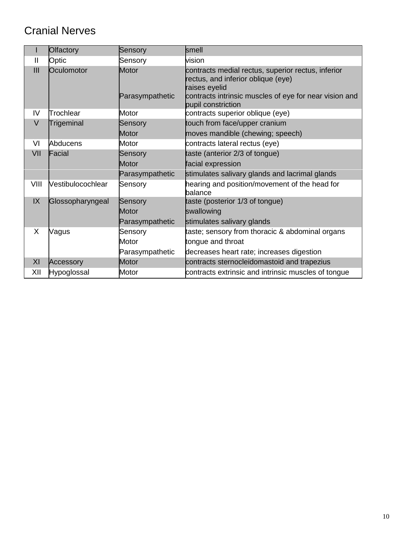# Cranial Nerves

|                | <b>Olfactory</b>  | Sensory                  | smell                                                                                                                                                                                     |
|----------------|-------------------|--------------------------|-------------------------------------------------------------------------------------------------------------------------------------------------------------------------------------------|
| $\mathbf{I}$   | Optic             | Sensory                  | vision                                                                                                                                                                                    |
| $\mathbf{III}$ | Oculomotor        | Motor<br>Parasympathetic | contracts medial rectus, superior rectus, inferior<br>rectus, and inferior oblique (eye)<br>raises eyelid<br>contracts intrinsic muscles of eye for near vision and<br>pupil constriction |
| IV             | Trochlear         | Motor                    | contracts superior oblique (eye)                                                                                                                                                          |
| $\vee$         | Trigeminal        | Sensory                  | touch from face/upper cranium                                                                                                                                                             |
|                |                   | Motor                    | moves mandible (chewing; speech)                                                                                                                                                          |
| VI             | <b>Abducens</b>   | Motor                    | contracts lateral rectus (eye)                                                                                                                                                            |
| VII            | Facial            | Sensory                  | taste (anterior 2/3 of tongue)                                                                                                                                                            |
|                |                   | Motor                    | facial expression                                                                                                                                                                         |
|                |                   | Parasympathetic          | stimulates salivary glands and lacrimal glands                                                                                                                                            |
| VIII           | Vestibulocochlear | Sensory                  | hearing and position/movement of the head for<br>balance                                                                                                                                  |
| IX             | Glossopharyngeal  | Sensory                  | taste (posterior 1/3 of tongue)                                                                                                                                                           |
|                |                   | Motor                    | swallowing                                                                                                                                                                                |
|                |                   | Parasympathetic          | stimulates salivary glands                                                                                                                                                                |
| X              | Vagus             | Sensory                  | taste; sensory from thoracic & abdominal organs                                                                                                                                           |
|                |                   | Motor                    | tongue and throat                                                                                                                                                                         |
|                |                   | Parasympathetic          | decreases heart rate; increases digestion                                                                                                                                                 |
| XI             | Accessory         | Motor                    | contracts sternocleidomastoid and trapezius                                                                                                                                               |
| XII            | Hypoglossal       | Motor                    | contracts extrinsic and intrinsic muscles of tongue                                                                                                                                       |